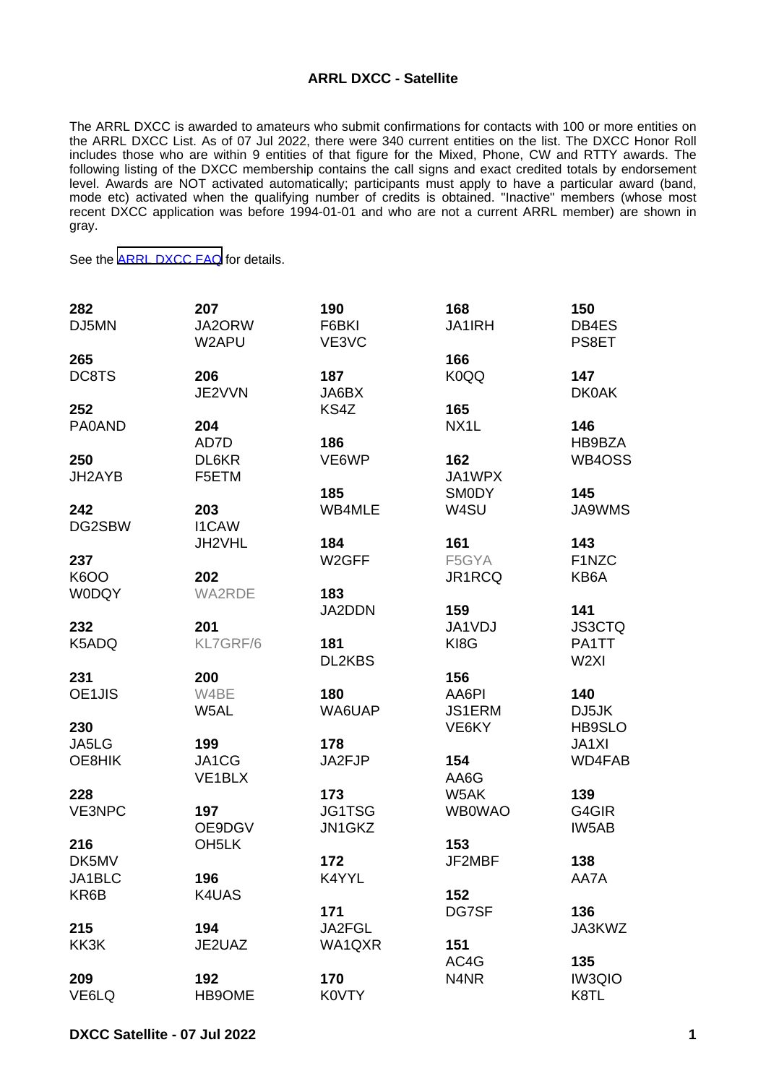## **ARRL DXCC - Satellite**

The ARRL DXCC is awarded to amateurs who submit confirmations for contacts with 100 or more entities on the ARRL DXCC List. As of 07 Jul 2022, there were 340 current entities on the list. The DXCC Honor Roll includes those who are within 9 entities of that figure for the Mixed, Phone, CW and RTTY awards. The following listing of the DXCC membership contains the call signs and exact credited totals by endorsement level. Awards are NOT activated automatically; participants must apply to have a particular award (band, mode etc) activated when the qualifying number of credits is obtained. "Inactive" members (whose most recent DXCC application was before 1994-01-01 and who are not a current ARRL member) are shown in gray.

See the [ARRL DXCC FAQ](http://www.arrl.org/dxcc-faq/) for details.

| 282           | 207                | 190                | 168               | 150              |
|---------------|--------------------|--------------------|-------------------|------------------|
| DJ5MN         | JA2ORW<br>W2APU    | F6BKI<br>VE3VC     | <b>JA1IRH</b>     | DB4ES<br>PS8ET   |
| 265           |                    |                    | 166               |                  |
| DC8TS         | 206                | 187                | K0QQ              | 147              |
|               | JE2VVN             | JA6BX              |                   | <b>DK0AK</b>     |
| 252           |                    | KS4Z               | 165               |                  |
| PA0AND        | 204                |                    | NX <sub>1</sub> L | 146              |
|               | AD7D               | 186                |                   | HB9BZA           |
| 250           | DL6KR              | VE6WP              | 162               | WB4OSS           |
| JH2AYB        | F5ETM              |                    | JA1WPX            |                  |
|               |                    | 185                | <b>SMODY</b>      | 145              |
| 242           | 203                | WB4MLE             | W4SU              | <b>JA9WMS</b>    |
| DG2SBW        | <b>I1CAW</b>       |                    |                   |                  |
|               | JH2VHL             | 184                | 161               | 143              |
| 237           |                    | W <sub>2</sub> GFF | F5GYA             | F1NZC            |
| <b>K6OO</b>   | 202                |                    | JR1RCQ            | KB6A             |
| <b>W0DQY</b>  | <b>WA2RDE</b>      | 183                |                   |                  |
|               |                    | JA2DDN             | 159               | 141              |
| 232           | 201                |                    | JA1VDJ            | <b>JS3CTQ</b>    |
| K5ADQ         | KL7GRF/6           | 181                | KI8G              | PA1TT            |
|               |                    | DL2KBS             |                   | W <sub>2XI</sub> |
| 231           | 200                |                    | 156               |                  |
| OE1JIS        | W4BE               | 180                | AA6PI             | 140              |
|               | W5AL               | WA6UAP             | <b>JS1ERM</b>     | DJ5JK            |
| 230           |                    |                    | VE6KY             | HB9SLO           |
| JA5LG         | 199                | 178                |                   | JA1XI            |
| OE8HIK        | JA1CG              | JA2FJP             | 154               | WD4FAB           |
|               | VE1BLX             |                    | AA6G              |                  |
| 228           |                    | 173                | W5AK              | 139              |
| <b>VE3NPC</b> | 197                |                    | <b>WB0WAO</b>     | G4GIR            |
|               |                    | JG1TSG             |                   |                  |
|               | OE9DGV             | JN1GKZ             |                   | IW5AB            |
| 216           | OH <sub>5</sub> LK |                    | 153               |                  |
| DK5MV         |                    | 172                | JF2MBF            | 138              |
| JA1BLC        | 196                | K4YYL              |                   | AA7A             |
| KR6B          | K4UAS              |                    | 152               |                  |
|               |                    | 171                | DG7SF             | 136              |
| 215           | 194                | JA2FGL             |                   | JA3KWZ           |
| KK3K          | JE2UAZ             | WA1QXR             | 151               |                  |
|               |                    |                    | AC4G              | 135              |
| 209           | 192                | 170                | N4NR              | <b>IW3QIO</b>    |
| VE6LQ         | HB9OME             | K0VTY              |                   | K8TL             |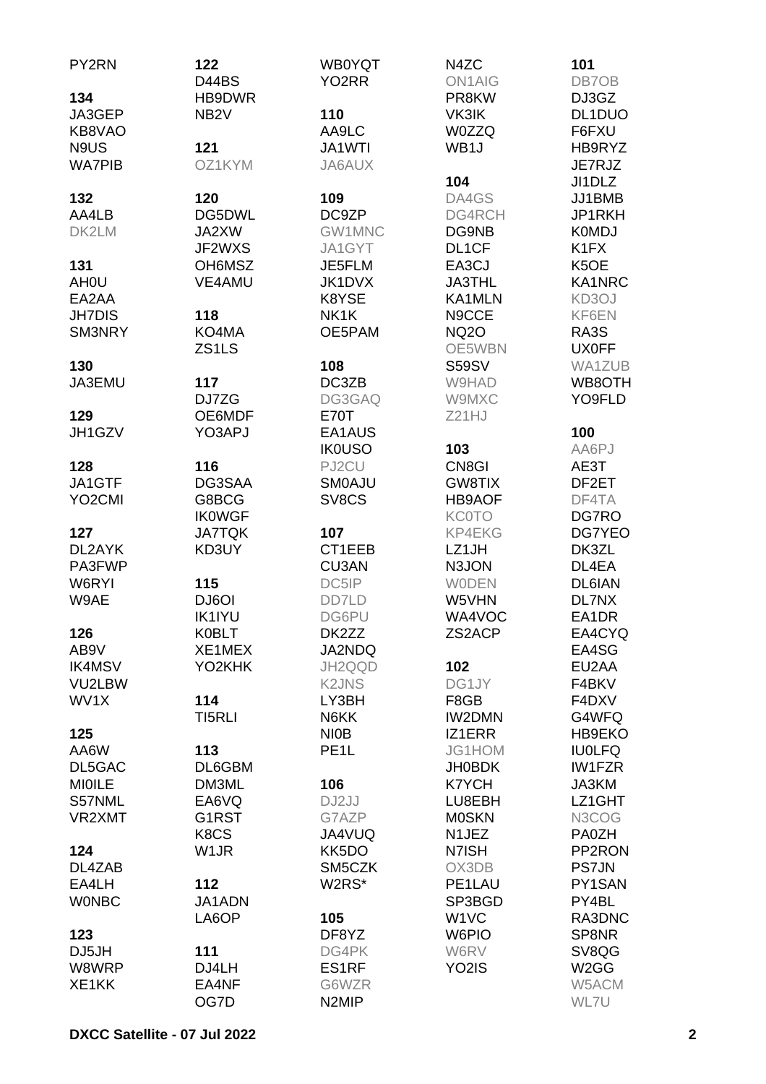| PY2RN               | 122               | <b>WB0YQT</b>      | N4ZC               | 101                           |
|---------------------|-------------------|--------------------|--------------------|-------------------------------|
|                     | D44BS             | YO <sub>2</sub> RR | <b>ON1AIG</b>      | DB7OB                         |
| 134                 | HB9DWR            |                    | PR8KW              | DJ3GZ                         |
| JA3GEP              | NB <sub>2</sub> V | 110                | VK3IK              | DL1DUO                        |
| KB8VAO              |                   | AA9LC              | <b>W0ZZQ</b>       | F6FXU                         |
| N9US                | 121               | JA1WTI             | WB1J               | HB9RYZ                        |
| <b>WA7PIB</b>       | OZ1KYM            | JA6AUX             |                    | JE7RJZ                        |
|                     |                   |                    | 104                | JI1DLZ                        |
| 132                 | 120               | 109                | DA4GS              | JJ1BMB                        |
| AA4LB               | DG5DWL            | DC9ZP              | DG4RCH             | JP1RKH                        |
| DK2LM               | JA2XW             | GW1MNC             | DG9NB              | <b>K0MDJ</b>                  |
|                     | JF2WXS            | JA1GYT             | DL1CF              | K <sub>1</sub> F <sub>X</sub> |
| 131                 | OH6MSZ            | JE5FLM             | EA3CJ              | K5OE                          |
| <b>AHOU</b>         | <b>VE4AMU</b>     | <b>JK1DVX</b>      | <b>JA3THL</b>      | KA1NRC                        |
| EA2AA               |                   | K8YSE              | KA1MLN             | KD3OJ                         |
| <b>JH7DIS</b>       | 118               | NK1K               | N9CCE              | KF6EN                         |
| SM3NRY              | KO4MA             | OE5PAM             | <b>NQ2O</b>        | RA3S                          |
|                     | ZS1LS             |                    | OE5WBN             | <b>UX0FF</b>                  |
| 130                 |                   | 108                | <b>S59SV</b>       | WA1ZUB                        |
| JA3EMU              | 117               | DC3ZB              | W9HAD              | WB8OTH                        |
|                     | DJ7ZG             | DG3GAQ             | W9MXC              | YO9FLD                        |
| 129                 | OE6MDF            | E70T               | Z21HJ              |                               |
| JH1GZV              | YO3APJ            | EA1AUS             |                    | 100                           |
|                     |                   | <b>IK0USO</b>      | 103                | AA6PJ                         |
| 128                 | 116               | PJ2CU              | CN8GI              | AE3T                          |
| JA1GTF              | DG3SAA            | <b>SMOAJU</b>      | GW8TIX             | DF2ET                         |
| YO <sub>2</sub> CMI | G8BCG             | SV8CS              | <b>HB9AOF</b>      | DF4TA                         |
|                     | <b>IKOWGF</b>     |                    | <b>KC0TO</b>       | DG7RO                         |
| 127                 | <b>JA7TQK</b>     | 107                | KP4EKG             | DG7YEO                        |
| DL2AYK              | KD3UY             | CT1EEB             | LZ1JH              | DK3ZL                         |
| PA3FWP              |                   | CU3AN              | N3JON              | DL4EA                         |
| W6RYI               | 115               | DC5IP              | <b>WODEN</b>       | <b>DL6IAN</b>                 |
| W9AE                | DJ6OI             | DD7LD              | W5VHN              | DL7NX                         |
|                     | <b>IK1IYU</b>     | DG6PU              | WA4VOC             | EA1DR                         |
| 126                 | <b>K0BLT</b>      | DK2ZZ              | ZS2ACP             | EA4CYQ                        |
| AB9V                | XE1MEX            | JA2NDQ             |                    | EA4SG                         |
| <b>IK4MSV</b>       | YO2KHK            | JH2QQD             | 102                | EU2AA                         |
| VU2LBW              |                   | <b>K2JNS</b>       | DG1JY              | F4BKV                         |
| WV1X                | 114               | LY3BH              | F8GB               | F4DXV                         |
|                     | TI5RLI            | N6KK               | <b>IW2DMN</b>      | G4WFQ                         |
| 125                 |                   | <b>NIOB</b>        | IZ1ERR             | HB9EKO                        |
| AA6W                | 113               | PE <sub>1</sub> L  | JG1HOM             | <b>IU0LFQ</b>                 |
| DL5GAC              | DL6GBM            |                    | <b>JH0BDK</b>      | <b>IW1FZR</b>                 |
| <b>MIOILE</b>       | DM3ML             | 106                | <b>K7YCH</b>       | JA3KM                         |
| S57NML              | EA6VQ             | DJ2JJ              | LU8EBH             | LZ1GHT                        |
| VR2XMT              | G1RST             | G7AZP              | <b>MOSKN</b>       | N3COG                         |
|                     | K8CS              | JA4VUQ             | N1JEZ              | PA0ZH                         |
| 124                 | W <sub>1</sub> JR | KK5DO              | N7ISH              | PP2RON                        |
| DL4ZAB              |                   | SM5CZK             | OX3DB              | <b>PS7JN</b>                  |
| EA4LH               | 112               | W2RS*              | PE1LAU             | PY1SAN                        |
| <b>WONBC</b>        | JA1ADN            |                    | SP3BGD             | PY4BL                         |
|                     | LA6OP             | 105                | W <sub>1</sub> VC  | RA3DNC                        |
| 123                 |                   | DF8YZ              | W6PIO              | SP8NR                         |
| DJ5JH               | 111               | DG4PK              | W6RV               | SV8QG                         |
| W8WRP               | DJ4LH             | ES1RF              | YO <sub>2</sub> IS | W <sub>2</sub> GG             |
| XE1KK               | EA4NF             | G6WZR              |                    | W5ACM                         |
|                     | OG7D              | N <sub>2</sub> MIP |                    | WL7U                          |